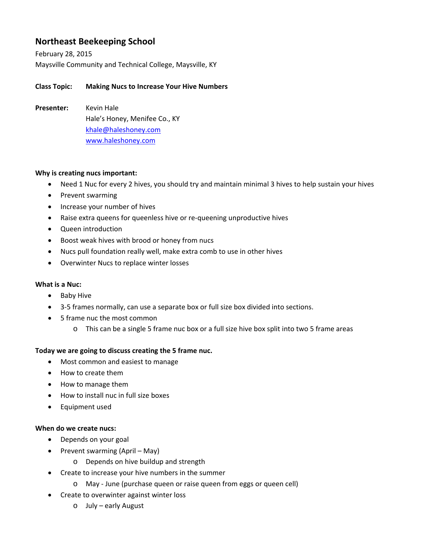# **Northeast Beekeeping School**

February 28, 2015 Maysville Community and Technical College, Maysville, KY

# **Class Topic: Making Nucs to Increase Your Hive Numbers**

**Presenter:** Kevin Hale Hale's Honey, Menifee Co., KY khale@haleshoney.com www.haleshoney.com

### **Why is creating nucs important:**

- Need 1 Nuc for every 2 hives, you should try and maintain minimal 3 hives to help sustain your hives
- Prevent swarming
- Increase your number of hives
- Raise extra queens for queenless hive or re-queening unproductive hives
- Queen introduction
- Boost weak hives with brood or honey from nucs
- Nucs pull foundation really well, make extra comb to use in other hives
- Overwinter Nucs to replace winter losses

### **What is a Nuc:**

- Baby Hive
- 3‐5 frames normally, can use a separate box or full size box divided into sections.
- 5 frame nuc the most common
	- o This can be a single 5 frame nuc box or a full size hive box split into two 5 frame areas

## **Today we are going to discuss creating the 5 frame nuc.**

- Most common and easiest to manage
- How to create them
- How to manage them
- How to install nuc in full size boxes
- Equipment used

### **When do we create nucs:**

- Depends on your goal
- Prevent swarming (April May)
	- o Depends on hive buildup and strength
- Create to increase your hive numbers in the summer
	- o May ‐ June (purchase queen or raise queen from eggs or queen cell)
- Create to overwinter against winter loss
	- o July early August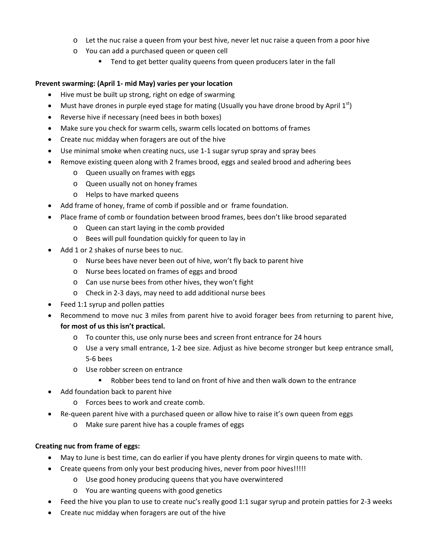- o Let the nuc raise a queen from your best hive, never let nuc raise a queen from a poor hive
- o You can add a purchased queen or queen cell
	- **Tend to get better quality queens from queen producers later in the fall**

### **Prevent swarming: (April 1‐ mid May) varies per your location**

- Hive must be built up strong, right on edge of swarming
- Must have drones in purple eyed stage for mating (Usually you have drone brood by April  $1^{st}$ )
- Reverse hive if necessary (need bees in both boxes)
- Make sure you check for swarm cells, swarm cells located on bottoms of frames
- Create nuc midday when foragers are out of the hive
- Use minimal smoke when creating nucs, use 1‐1 sugar syrup spray and spray bees
- Remove existing queen along with 2 frames brood, eggs and sealed brood and adhering bees
	- o Queen usually on frames with eggs
	- o Queen usually not on honey frames
	- o Helps to have marked queens
- Add frame of honey, frame of comb if possible and or frame foundation.
- Place frame of comb or foundation between brood frames, bees don't like brood separated
	- o Queen can start laying in the comb provided
	- o Bees will pull foundation quickly for queen to lay in
- Add 1 or 2 shakes of nurse bees to nuc.
	- o Nurse bees have never been out of hive, won't fly back to parent hive
	- o Nurse bees located on frames of eggs and brood
	- o Can use nurse bees from other hives, they won't fight
	- o Check in 2‐3 days, may need to add additional nurse bees
- Feed 1:1 syrup and pollen patties
- Recommend to move nuc 3 miles from parent hive to avoid forager bees from returning to parent hive,

## **for most of us this isn't practical.**

- o To counter this, use only nurse bees and screen front entrance for 24 hours
- o Use a very small entrance, 1‐2 bee size. Adjust as hive become stronger but keep entrance small, 5‐6 bees
- o Use robber screen on entrance
	- Robber bees tend to land on front of hive and then walk down to the entrance
- Add foundation back to parent hive
	- o Forces bees to work and create comb.
- Re-queen parent hive with a purchased queen or allow hive to raise it's own queen from eggs
	- o Make sure parent hive has a couple frames of eggs

## **Creating nuc from frame of eggs:**

- May to June is best time, can do earlier if you have plenty drones for virgin queens to mate with.
- Create queens from only your best producing hives, never from poor hives!!!!!
	- o Use good honey producing queens that you have overwintered
	- o You are wanting queens with good genetics
- Feed the hive you plan to use to create nuc's really good 1:1 sugar syrup and protein patties for 2‐3 weeks
- Create nuc midday when foragers are out of the hive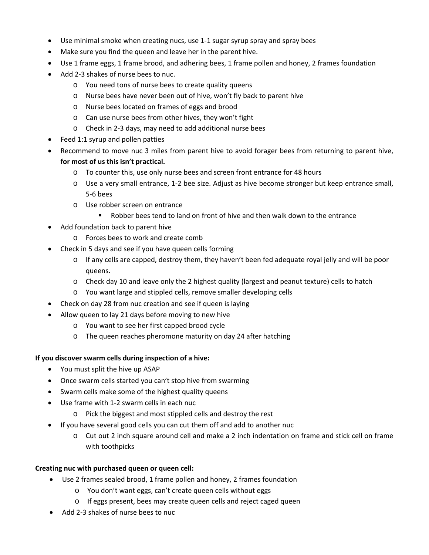- Use minimal smoke when creating nucs, use 1‐1 sugar syrup spray and spray bees
- Make sure you find the queen and leave her in the parent hive.
- Use 1 frame eggs, 1 frame brood, and adhering bees, 1 frame pollen and honey, 2 frames foundation
- Add 2-3 shakes of nurse bees to nuc.
	- o You need tons of nurse bees to create quality queens
	- o Nurse bees have never been out of hive, won't fly back to parent hive
	- o Nurse bees located on frames of eggs and brood
	- o Can use nurse bees from other hives, they won't fight
	- o Check in 2‐3 days, may need to add additional nurse bees
- Feed 1:1 syrup and pollen patties
- Recommend to move nuc 3 miles from parent hive to avoid forager bees from returning to parent hive, **for most of us this isn't practical.**
	- o To counter this, use only nurse bees and screen front entrance for 48 hours
	- o Use a very small entrance, 1‐2 bee size. Adjust as hive become stronger but keep entrance small, 5‐6 bees
	- o Use robber screen on entrance
		- Robber bees tend to land on front of hive and then walk down to the entrance
- Add foundation back to parent hive
	- o Forces bees to work and create comb
- Check in 5 days and see if you have queen cells forming
	- o If any cells are capped, destroy them, they haven't been fed adequate royal jelly and will be poor queens.
	- o Check day 10 and leave only the 2 highest quality (largest and peanut texture) cells to hatch
	- o You want large and stippled cells, remove smaller developing cells
- Check on day 28 from nuc creation and see if queen is laying
- Allow queen to lay 21 days before moving to new hive
	- o You want to see her first capped brood cycle
	- o The queen reaches pheromone maturity on day 24 after hatching

### **If you discover swarm cells during inspection of a hive:**

- You must split the hive up ASAP
- Once swarm cells started you can't stop hive from swarming
- Swarm cells make some of the highest quality queens
- Use frame with 1-2 swarm cells in each nuc
	- o Pick the biggest and most stippled cells and destroy the rest
- If you have several good cells you can cut them off and add to another nuc
	- o Cut out 2 inch square around cell and make a 2 inch indentation on frame and stick cell on frame with toothpicks

### **Creating nuc with purchased queen or queen cell:**

- Use 2 frames sealed brood, 1 frame pollen and honey, 2 frames foundation
	- o You don't want eggs, can't create queen cells without eggs
	- o If eggs present, bees may create queen cells and reject caged queen
- Add 2‐3 shakes of nurse bees to nuc